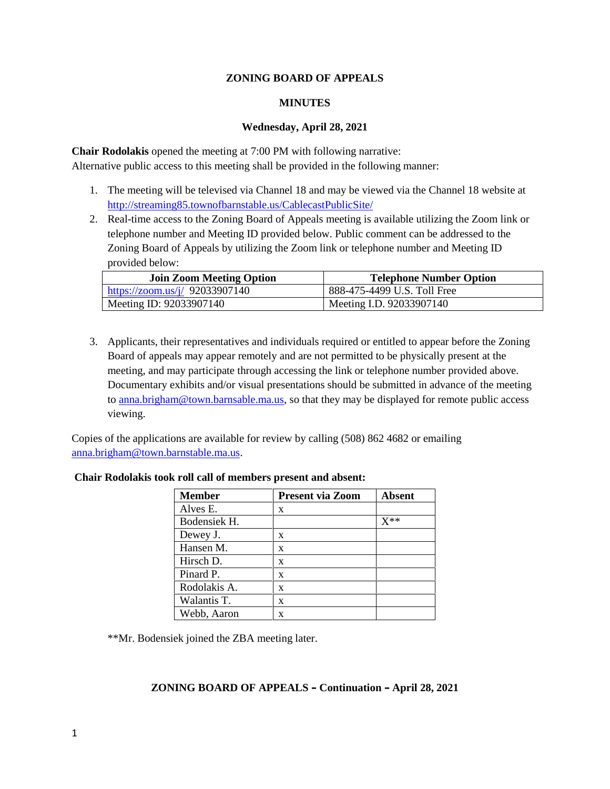# **ZONING BOARD OF APPEALS**

## **MINUTES**

### **Wednesday, April 28, 2021**

**Chair Rodolakis** opened the meeting at 7:00 PM with following narrative: Alternative public access to this meeting shall be provided in the following manner:

- 1. The meeting will be televised via Channel 18 and may be viewed via the Channel 18 website at http://streaming85.townofbarnstable.us/CablecastPublicSite/
- 2. Real-time access to the Zoning Board of Appeals meeting is available utilizing the Zoom link or telephone number and Meeting ID provided below. Public comment can be addressed to the Zoning Board of Appeals by utilizing the Zoom link or telephone number and Meeting ID provided below:

| <b>Join Zoom Meeting Option</b> | <b>Telephone Number Option</b> |
|---------------------------------|--------------------------------|
| https://zoom.us/j/ 92033907140  | 888-475-4499 U.S. Toll Free    |
| Meeting ID: 92033907140         | Meeting I.D. 92033907140       |

3. Applicants, their representatives and individuals required or entitled to appear before the Zoning Board of appeals may appear remotely and are not permitted to be physically present at the meeting, and may participate through accessing the link or telephone number provided above. Documentary exhibits and/or visual presentations should be submitted in advance of the meeting to anna.brigham@town.barnsable.ma.us, so that they may be displayed for remote public access viewing.

Copies of the applications are available for review by calling (508) 862 4682 or emailing anna.brigham@town.barnstable.ma.us.

| <b>Member</b> | <b>Present via Zoom</b> | <b>Absent</b> |
|---------------|-------------------------|---------------|
| Alves E.      | X                       |               |
| Bodensiek H.  |                         | $X^{**}$      |
| Dewey J.      | X                       |               |
| Hansen M.     | X                       |               |
| Hirsch D.     | X                       |               |
| Pinard P.     | X                       |               |
| Rodolakis A.  | X                       |               |
| Walantis T.   | X                       |               |
| Webb, Aaron   | X                       |               |

# **Chair Rodolakis took roll call of members present and absent:**

\*\*Mr. Bodensiek joined the ZBA meeting later.

# **ZONING BOARD OF APPEALS – Continuation – April 28, 2021**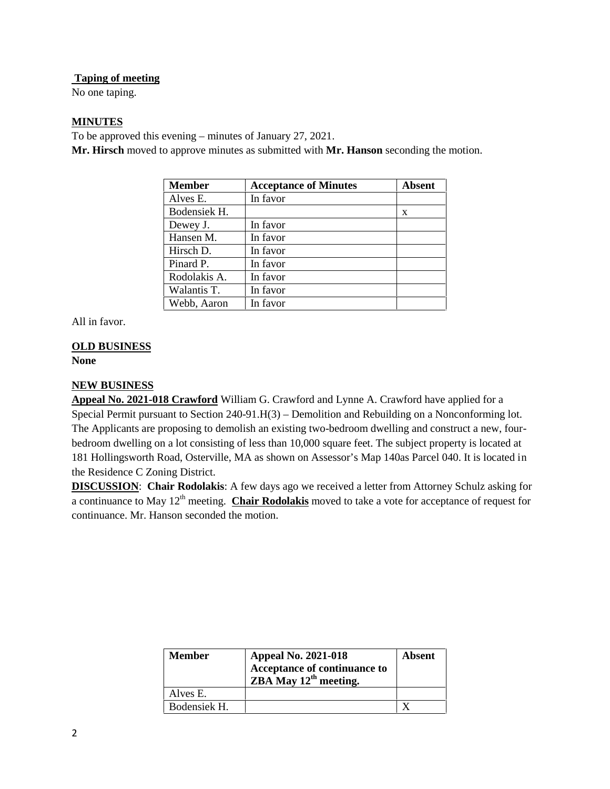# **Taping of meeting**

No one taping.

# **MINUTES**

To be approved this evening – minutes of January 27, 2021.

**Mr. Hirsch** moved to approve minutes as submitted with **Mr. Hanson** seconding the motion.

| <b>Member</b> | <b>Acceptance of Minutes</b> | Absent |
|---------------|------------------------------|--------|
| Alves E.      | In favor                     |        |
| Bodensiek H.  |                              | X      |
| Dewey J.      | In favor                     |        |
| Hansen M.     | In favor                     |        |
| Hirsch D.     | In favor                     |        |
| Pinard P.     | In favor                     |        |
| Rodolakis A.  | In favor                     |        |
| Walantis T.   | In favor                     |        |
| Webb, Aaron   | In favor                     |        |

All in favor.

# **OLD BUSINESS**

### **None**

# **NEW BUSINESS**

**Appeal No. 2021-018 Crawford** William G. Crawford and Lynne A. Crawford have applied for a Special Permit pursuant to Section 240-91.H(3) – Demolition and Rebuilding on a Nonconforming lot. The Applicants are proposing to demolish an existing two-bedroom dwelling and construct a new, four bedroom dwelling on a lot consisting of less than 10,000 square feet. The subject property is located at 181 Hollingsworth Road, Osterville, MA as shown on Assessor's Map 140as Parcel 040. It is located in the Residence C Zoning District.

**DISCUSSION**: **Chair Rodolakis**: A few days ago we received a letter from Attorney Schulz asking for a continuance to May 12<sup>th</sup> meeting. **Chair Rodolakis** moved to take a vote for acceptance of request for continuance. Mr. Hanson seconded the motion.

| <b>Member</b> | <b>Appeal No. 2021-018</b><br>Acceptance of continuance to<br>$ZBA$ May $12th$ meeting. | Absent |
|---------------|-----------------------------------------------------------------------------------------|--------|
| Alves E.      |                                                                                         |        |
| Bodensiek H.  |                                                                                         |        |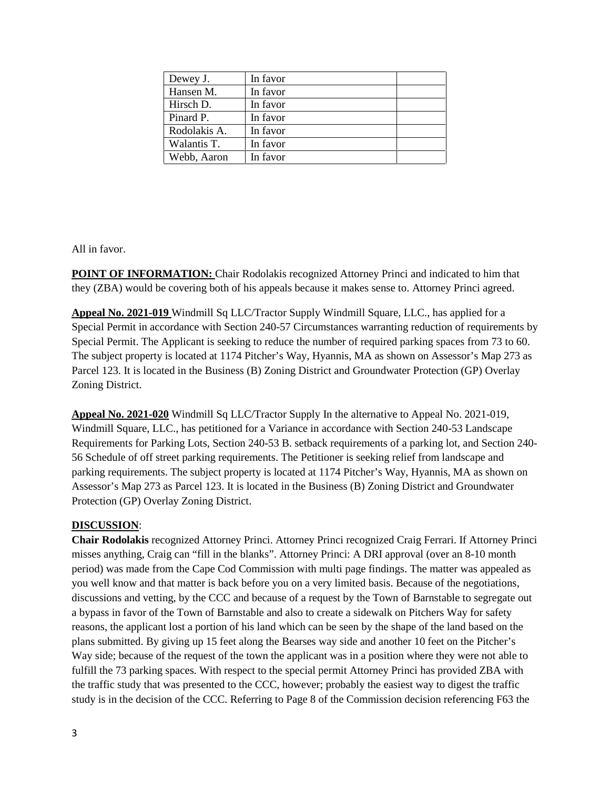| Dewey J.     | In favor |  |
|--------------|----------|--|
| Hansen M.    | In favor |  |
| Hirsch D.    | In favor |  |
| Pinard P.    | In favor |  |
| Rodolakis A. | In favor |  |
| Walantis T.  | In favor |  |
| Webb, Aaron  | In favor |  |

All in favor.

**POINT OF INFORMATION:** Chair Rodolakis recognized Attorney Princi and indicated to him that they (ZBA) would be covering both of his appeals because it makes sense to. Attorney Princi agreed.

**Appeal No. 2021-019** Windmill Sq LLC/Tractor Supply Windmill Square, LLC., has applied for a Special Permit in accordance with Section 240-57 Circumstances warranting reduction of requirements by Special Permit. The Applicant is seeking to reduce the number of required parking spaces from 73 to 60. The subject property is located at 1174 Pitcher's Way, Hyannis, MA as shown on Assessor's Map 273 as Parcel 123. It is located in the Business (B) Zoning District and Groundwater Protection (GP) Overlay Zoning District.

**Appeal No. 2021-020** Windmill Sq LLC/Tractor Supply In the alternative to Appeal No. 2021-019, Windmill Square, LLC., has petitioned for a Variance in accordance with Section 240-53 Landscape Requirements for Parking Lots, Section 240-53 B. setback requirements of a parking lot, and Section 240- 56 Schedule of off street parking requirements. The Petitioner is seeking relief from landscape and parking requirements. The subject property is located at 1174 Pitcher's Way, Hyannis, MA as shown on Assessor's Map 273 as Parcel 123. It is located in the Business (B) Zoning District and Groundwater Protection (GP) Overlay Zoning District.

# **DISCUSSION**:

**Chair Rodolakis** recognized Attorney Princi. Attorney Princi recognized Craig Ferrari. If Attorney Princi misses anything, Craig can "fill in the blanks". Attorney Princi: A DRI approval (over an 8-10 month period) was made from the Cape Cod Commission with multi page findings. The matter was appealed as you well know and that matter is back before you on a very limited basis. Because of the negotiations, discussions and vetting, by the CCC and because of a request by the Town of Barnstable to segregate out a bypass in favor of the Town of Barnstable and also to create a sidewalk on Pitchers Way for safety reasons, the applicant lost a portion of his land which can be seen by the shape of the land based on the plans submitted. By giving up 15 feet along the Bearses way side and another 10 feet on the Pitcher's Way side; because of the request of the town the applicant was in a position where they were not able to fulfill the 73 parking spaces. With respect to the special permit Attorney Princi has provided ZBA with the traffic study that was presented to the CCC, however; probably the easiest way to digest the traffic study is in the decision of the CCC. Referring to Page 8 of the Commission decision referencing F63 the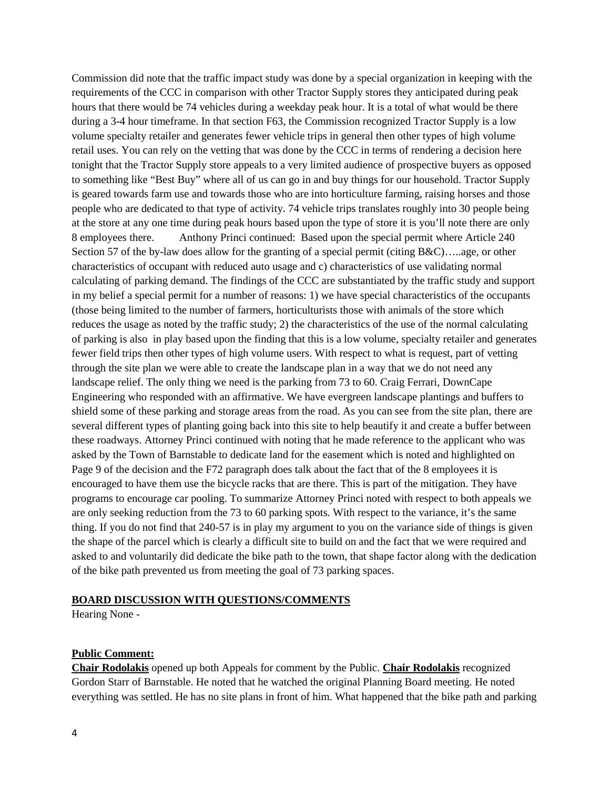Commission did note that the traffic impact study was done by a special organization in keeping with the requirements of the CCC in comparison with other Tractor Supply stores they anticipated during peak hours that there would be 74 vehicles during a weekday peak hour. It is a total of what would be there during a 3-4 hour timeframe. In that section F63, the Commission recognized Tractor Supply is a low volume specialty retailer and generates fewer vehicle trips in general then other types of high volume retail uses. You can rely on the vetting that was done by the CCC in terms of rendering a decision here tonight that the Tractor Supply store appeals to a very limited audience of prospective buyers as opposed to something like "Best Buy" where all of us can go in and buy things for our household. Tractor Supply is geared towards farm use and towards those who are into horticulture farming, raising horses and those people who are dedicated to that type of activity. 74 vehicle trips translates roughly into 30 people being at the store at any one time during peak hours based upon the type of store it is you'll note there are only 8 employees there. Anthony Princi continued: Based upon the special permit where Article 240 Section 57 of the by-law does allow for the granting of a special permit (citing B&C)…..age, or other characteristics of occupant with reduced auto usage and c) characteristics of use validating normal calculating of parking demand. The findings of the CCC are substantiated by the traffic study and support in my belief a special permit for a number of reasons: 1) we have special characteristics of the occupants (those being limited to the number of farmers, horticulturists those with animals of the store which reduces the usage as noted by the traffic study; 2) the characteristics of the use of the normal calculating of parking is also in play based upon the finding that this is a low volume, specialty retailer and generates fewer field trips then other types of high volume users. With respect to what is request, part of vetting through the site plan we were able to create the landscape plan in a way that we do not need any landscape relief. The only thing we need is the parking from 73 to 60. Craig Ferrari, DownCape Engineering who responded with an affirmative. We have evergreen landscape plantings and buffers to shield some of these parking and storage areas from the road. As you can see from the site plan, there are several different types of planting going back into this site to help beautify it and create a buffer between these roadways. Attorney Princi continued with noting that he made reference to the applicant who was asked by the Town of Barnstable to dedicate land for the easement which is noted and highlighted on Page 9 of the decision and the F72 paragraph does talk about the fact that of the 8 employees it is encouraged to have them use the bicycle racks that are there. This is part of the mitigation. They have programs to encourage car pooling. To summarize Attorney Princi noted with respect to both appeals we are only seeking reduction from the 73 to 60 parking spots. With respect to the variance, it's the same thing. If you do not find that 240-57 is in play my argument to you on the variance side of things is given the shape of the parcel which is clearly a difficult site to build on and the fact that we were required and asked to and voluntarily did dedicate the bike path to the town, that shape factor along with the dedication of the bike path prevented us from meeting the goal of 73 parking spaces.

#### **BOARD DISCUSSION WITH QUESTIONS/COMMENTS**

Hearing None -

#### **Public Comment:**

**Chair Rodolakis** opened up both Appeals for comment by the Public. **Chair Rodolakis** recognized Gordon Starr of Barnstable. He noted that he watched the original Planning Board meeting. He noted everything was settled. He has no site plans in front of him. What happened that the bike path and parking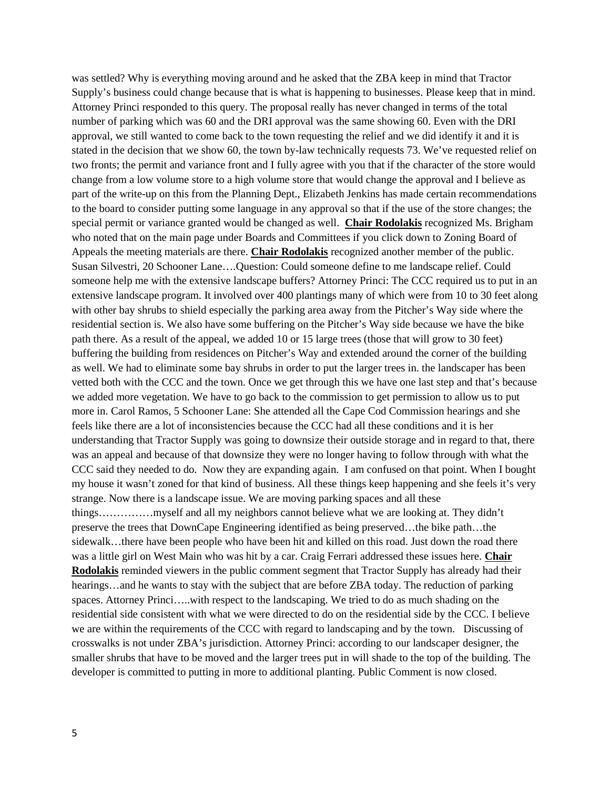was settled? Why is everything moving around and he asked that the ZBA keep in mind that Tractor Supply's business could change because that is what is happening to businesses. Please keep that in mind. Attorney Princi responded to this query. The proposal really has never changed in terms of the total number of parking which was 60 and the DRI approval was the same showing 60. Even with the DRI approval, we still wanted to come back to the town requesting the relief and we did identify it and it is stated in the decision that we show 60, the town by-law technically requests 73. We've requested relief on two fronts; the permit and variance front and I fully agree with you that if the character of the store would change from a low volume store to a high volume store that would change the approval and I believe as part of the write-up on this from the Planning Dept., Elizabeth Jenkins has made certain recommendations to the board to consider putting some language in any approval so that if the use of the store changes; the special permit or variance granted would be changed as well. **Chair Rodolakis** recognized Ms. Brigham who noted that on the main page under Boards and Committees if you click down to Zoning Board of Appeals the meeting materials are there. **Chair Rodolakis** recognized another member of the public. Susan Silvestri, 20 Schooner Lane….Question: Could someone define to me landscape relief. Could someone help me with the extensive landscape buffers? Attorney Princi: The CCC required us to put in an extensive landscape program. It involved over 400 plantings many of which were from 10 to 30 feet along with other bay shrubs to shield especially the parking area away from the Pitcher's Way side where the residential section is. We also have some buffering on the Pitcher's Way side because we have the bike path there. As a result of the appeal, we added 10 or 15 large trees (those that will grow to 30 feet) buffering the building from residences on Pitcher's Way and extended around the corner of the building as well. We had to eliminate some bay shrubs in order to put the larger trees in. the landscaper has been vetted both with the CCC and the town. Once we get through this we have one last step and that's because we added more vegetation. We have to go back to the commission to get permission to allow us to put more in. Carol Ramos, 5 Schooner Lane: She attended all the Cape Cod Commission hearings and she feels like there are a lot of inconsistencies because the CCC had all these conditions and it is her understanding that Tractor Supply was going to downsize their outside storage and in regard to that, there was an appeal and because of that downsize they were no longer having to follow through with what the CCC said they needed to do. Now they are expanding again. I am confused on that point. When I bought my house it wasn't zoned for that kind of business. All these things keep happening and she feels it's very strange. Now there is a landscape issue. We are moving parking spaces and all these things……………myself and all my neighbors cannot believe what we are looking at. They didn't preserve the trees that DownCape Engineering identified as being preserved…the bike path…the sidewalk...there have been people who have been hit and killed on this road. Just down the road there was a little girl on West Main who was hit by a car. Craig Ferrari addressed these issues here. **Chair Rodolakis** reminded viewers in the public comment segment that Tractor Supply has already had their hearings...and he wants to stay with the subject that are before ZBA today. The reduction of parking spaces. Attorney Princi…..with respect to the landscaping. We tried to do as much shading on the residential side consistent with what we were directed to do on the residential side by the CCC. I believe we are within the requirements of the CCC with regard to landscaping and by the town. Discussing of crosswalks is not under ZBA's jurisdiction. Attorney Princi: according to our landscaper designer, the smaller shrubs that have to be moved and the larger trees put in will shade to the top of the building. The developer is committed to putting in more to additional planting. Public Comment is now closed.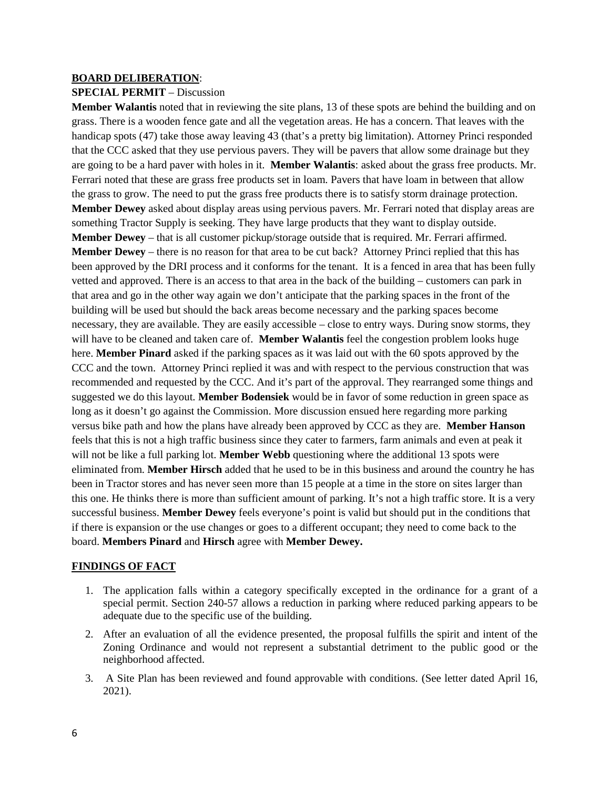#### **BOARD DELIBERATION**:

#### **SPECIAL PERMIT** – Discussion

**Member Walantis** noted that in reviewing the site plans, 13 of these spots are behind the building and on grass. There is a wooden fence gate and all the vegetation areas. He has a concern. That leaves with the handicap spots (47) take those away leaving 43 (that's a pretty big limitation). Attorney Princi responded that the CCC asked that they use pervious pavers. They will be pavers that allow some drainage but they are going to be a hard paver with holes in it. **Member Walantis**: asked about the grass free products. Mr. Ferrari noted that these are grass free products set in loam. Pavers that have loam in between that allow the grass to grow. The need to put the grass free products there is to satisfy storm drainage protection. **Member Dewey** asked about display areas using pervious pavers. Mr. Ferrari noted that display areas are something Tractor Supply is seeking. They have large products that they want to display outside. **Member Dewey** – that is all customer pickup/storage outside that is required. Mr. Ferrari affirmed. **Member Dewey** – there is no reason for that area to be cut back? Attorney Princi replied that this has been approved by the DRI process and it conforms for the tenant. It is a fenced in area that has been fully vetted and approved. There is an access to that area in the back of the building – customers can park in that area and go in the other way again we don't anticipate that the parking spaces in the front of the building will be used but should the back areas become necessary and the parking spaces become necessary, they are available. They are easily accessible – close to entry ways. During snow storms, they will have to be cleaned and taken care of. **Member Walantis** feel the congestion problem looks huge here. **Member Pinard** asked if the parking spaces as it was laid out with the 60 spots approved by the CCC and the town. Attorney Princi replied it was and with respect to the pervious construction that was recommended and requested by the CCC. And it's part of the approval. They rearranged some things and suggested we do this layout. **Member Bodensiek** would be in favor of some reduction in green space as long as it doesn't go against the Commission. More discussion ensued here regarding more parking versus bike path and how the plans have already been approved by CCC as they are. **Member Hanson** feels that this is not a high traffic business since they cater to farmers, farm animals and even at peak it will not be like a full parking lot. **Member Webb** questioning where the additional 13 spots were eliminated from. **Member Hirsch** added that he used to be in this business and around the country he has been in Tractor stores and has never seen more than 15 people at a time in the store on sites larger than this one. He thinks there is more than sufficient amount of parking. It's not a high traffic store. It is a very successful business. **Member Dewey** feels everyone's point is valid but should put in the conditions that if there is expansion or the use changes or goes to a different occupant; they need to come back to the board. **Members Pinard** and **Hirsch** agree with **Member Dewey.**

#### **FINDINGS OF FACT**

- 1. The application falls within a category specifically excepted in the ordinance for a grant of a special permit. Section 240-57 allows a reduction in parking where reduced parking appears to be adequate due to the specific use of the building.
- 2. After an evaluation of all the evidence presented, the proposal fulfills the spirit and intent of the Zoning Ordinance and would not represent a substantial detriment to the public good or the neighborhood affected.
- 3. A Site Plan has been reviewed and found approvable with conditions. (See letter dated April 16, 2021).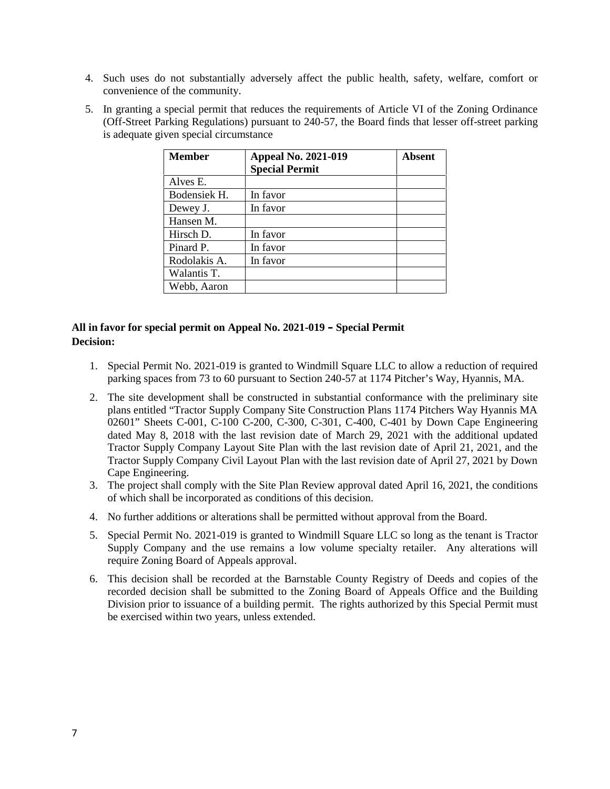- 4. Such uses do not substantially adversely affect the public health, safety, welfare, comfort or convenience of the community.
- 5. In granting a special permit that reduces the requirements of Article VI of the Zoning Ordinance (Off-Street Parking Regulations) pursuant to 240-57, the Board finds that lesser off-street parking is adequate given special circumstance

| <b>Member</b> | <b>Appeal No. 2021-019</b> | Absent |
|---------------|----------------------------|--------|
|               | <b>Special Permit</b>      |        |
| Alves E.      |                            |        |
| Bodensiek H.  | In favor                   |        |
| Dewey J.      | In favor                   |        |
| Hansen M.     |                            |        |
| Hirsch D.     | In favor                   |        |
| Pinard P.     | In favor                   |        |
| Rodolakis A.  | In favor                   |        |
| Walantis T.   |                            |        |
| Webb, Aaron   |                            |        |

# **All in favor for special permit on Appeal No. 2021-019 – Special Permit Decision:**

- 1. Special Permit No. 2021-019 is granted to Windmill Square LLC to allow a reduction of required parking spaces from 73 to 60 pursuant to Section 240-57 at 1174 Pitcher's Way, Hyannis, MA.
- 2. The site development shall be constructed in substantial conformance with the preliminary site plans entitled "Tractor Supply Company Site Construction Plans 1174 Pitchers Way Hyannis MA 02601" Sheets C-001, C-100 C-200, C-300, C-301, C-400, C-401 by Down Cape Engineering dated May 8, 2018 with the last revision date of March 29, 2021 with the additional updated Tractor Supply Company Layout Site Plan with the last revision date of April 21, 2021, and the Tractor Supply Company Civil Layout Plan with the last revision date of April 27, 2021 by Down Cape Engineering.
- 3. The project shall comply with the Site Plan Review approval dated April 16, 2021, the conditions of which shall be incorporated as conditions of this decision.
- 4. No further additions or alterations shall be permitted without approval from the Board.
- 5. Special Permit No. 2021-019 is granted to Windmill Square LLC so long as the tenant is Tractor Supply Company and the use remains a low volume specialty retailer. Any alterations will require Zoning Board of Appeals approval.
- 6. This decision shall be recorded at the Barnstable County Registry of Deeds and copies of the recorded decision shall be submitted to the Zoning Board of Appeals Office and the Building Division prior to issuance of a building permit. The rights authorized by this Special Permit must be exercised within two years, unless extended.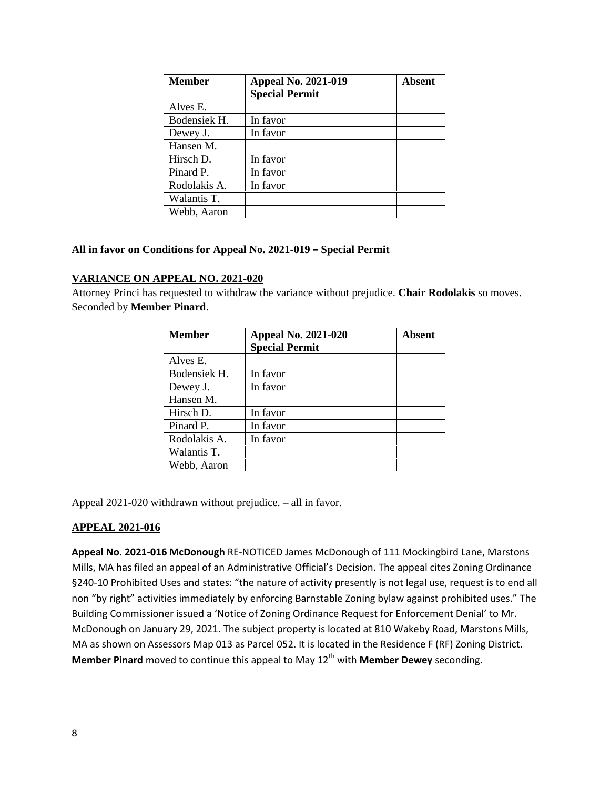| <b>Member</b> | <b>Appeal No. 2021-019</b> | Absent |
|---------------|----------------------------|--------|
|               | <b>Special Permit</b>      |        |
| Alves E.      |                            |        |
| Bodensiek H.  | In favor                   |        |
| Dewey J.      | In favor                   |        |
| Hansen M.     |                            |        |
| Hirsch D.     | In favor                   |        |
| Pinard P.     | In favor                   |        |
| Rodolakis A.  | In favor                   |        |
| Walantis T.   |                            |        |
| Webb, Aaron   |                            |        |

# **All in favor on Conditions for Appeal No. 2021-019 – Special Permit**

# **VARIANCE ON APPEAL NO. 2021-020**

Attorney Princi has requested to withdraw the variance without prejudice. **Chair Rodolakis** so moves. Seconded by **Member Pinard**.

| <b>Member</b> | <b>Appeal No. 2021-020</b><br><b>Special Permit</b> | Absent |
|---------------|-----------------------------------------------------|--------|
| Alves E.      |                                                     |        |
| Bodensiek H.  | In favor                                            |        |
| Dewey J.      | In favor                                            |        |
| Hansen M.     |                                                     |        |
| Hirsch D.     | In favor                                            |        |
| Pinard P.     | In favor                                            |        |
| Rodolakis A.  | In favor                                            |        |
| Walantis T.   |                                                     |        |
| Webb, Aaron   |                                                     |        |

Appeal 2021-020 withdrawn without prejudice. – all in favor.

# **APPEAL 2021-016**

**Appeal No. 2021-016 McDonough** RE-NOTICED James McDonough of 111 Mockingbird Lane, Marstons Mills, MA has filed an appeal of an Administrative Official's Decision. The appeal cites Zoning Ordinance §240-10 Prohibited Uses and states: "the nature of activity presently is not legal use, request is to end all non "by right" activities immediately by enforcing Barnstable Zoning bylaw against prohibited uses." The Building Commissioner issued a 'Notice of Zoning Ordinance Request for Enforcement Denial' to Mr. McDonough on January 29, 2021. The subject property is located at 810 Wakeby Road, Marstons Mills, MA as shown on Assessors Map 013 as Parcel 052. It is located in the Residence F (RF) Zoning District. **Member Pinard** moved to continue this appeal to May 12<sup>th</sup> with **Member Dewey** seconding.